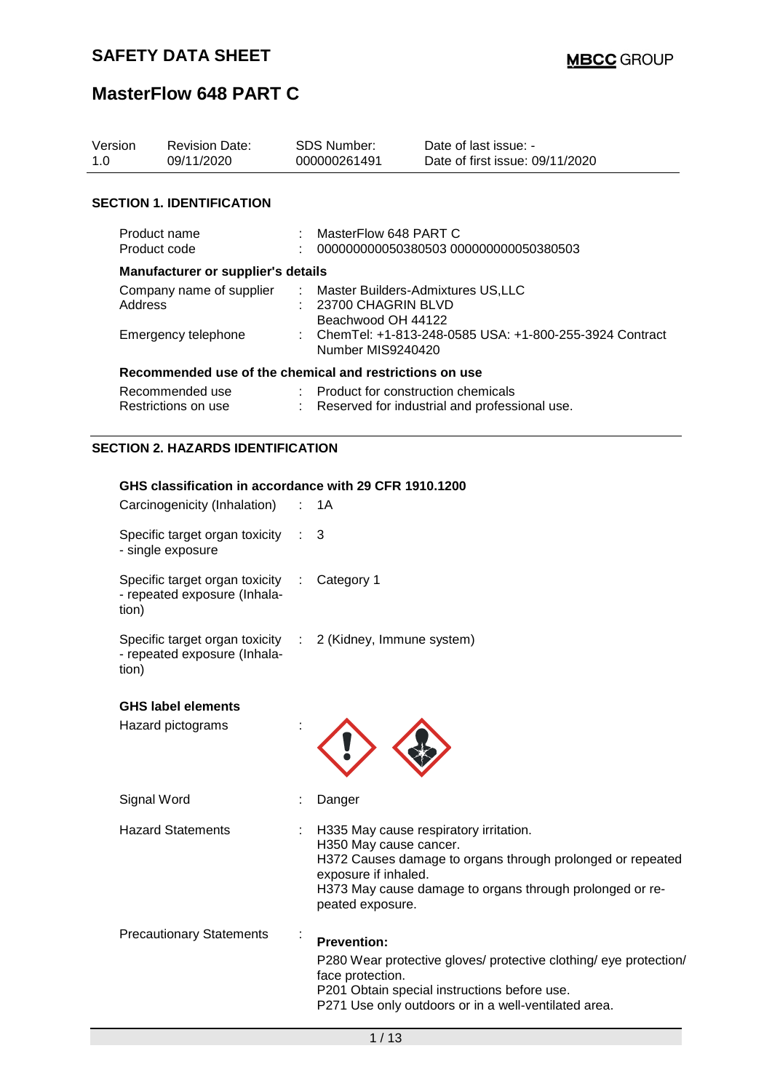| Version<br>1.0                                             | <b>Revision Date:</b><br>09/11/2020    | <b>SDS Number:</b><br>000000261491 |                                                                                                                                                                    | Date of last issue: -<br>Date of first issue: 09/11/2020 |  |
|------------------------------------------------------------|----------------------------------------|------------------------------------|--------------------------------------------------------------------------------------------------------------------------------------------------------------------|----------------------------------------------------------|--|
|                                                            | <b>SECTION 1. IDENTIFICATION</b>       |                                    |                                                                                                                                                                    |                                                          |  |
| Product name<br>Product code                               |                                        |                                    | MasterFlow 648 PART C                                                                                                                                              | 000000000050380503 000000000050380503                    |  |
| <b>Manufacturer or supplier's details</b>                  |                                        |                                    |                                                                                                                                                                    |                                                          |  |
| Company name of supplier<br>Address<br>Emergency telephone |                                        |                                    | : Master Builders-Admixtures US,LLC<br>: 23700 CHAGRIN BLVD<br>Beachwood OH 44122<br>: ChemTel: +1-813-248-0585 USA: +1-800-255-3924 Contract<br>Number MIS9240420 |                                                          |  |
| Recommended use of the chemical and restrictions on use    |                                        |                                    |                                                                                                                                                                    |                                                          |  |
|                                                            | Recommended use<br>Restrictions on use |                                    | : Product for construction chemicals                                                                                                                               | Reserved for industrial and professional use.            |  |

### **SECTION 2. HAZARDS IDENTIFICATION**

### **GHS classification in accordance with 29 CFR 1910.1200**

| Carcinogenicity (Inhalation)                                                                        | 1A                                                                                                                                                                                                                                     |
|-----------------------------------------------------------------------------------------------------|----------------------------------------------------------------------------------------------------------------------------------------------------------------------------------------------------------------------------------------|
| Specific target organ toxicity :<br>- single exposure                                               | 3                                                                                                                                                                                                                                      |
| Specific target organ toxicity :<br>- repeated exposure (Inhala-<br>tion)                           | Category 1                                                                                                                                                                                                                             |
| Specific target organ toxicity : 2 (Kidney, Immune system)<br>- repeated exposure (Inhala-<br>tion) |                                                                                                                                                                                                                                        |
| <b>GHS label elements</b><br>Hazard pictograms                                                      |                                                                                                                                                                                                                                        |
| Signal Word                                                                                         | Danger                                                                                                                                                                                                                                 |
| <b>Hazard Statements</b>                                                                            | H335 May cause respiratory irritation.<br>H350 May cause cancer.<br>H372 Causes damage to organs through prolonged or repeated<br>exposure if inhaled.<br>H373 May cause damage to organs through prolonged or re-<br>peated exposure. |
| <b>Precautionary Statements</b>                                                                     | <b>Prevention:</b><br>P280 Wear protective gloves/ protective clothing/ eye protection/<br>face protection.<br>P201 Obtain special instructions before use.<br>P271 Use only outdoors or in a well-ventilated area.                    |
|                                                                                                     |                                                                                                                                                                                                                                        |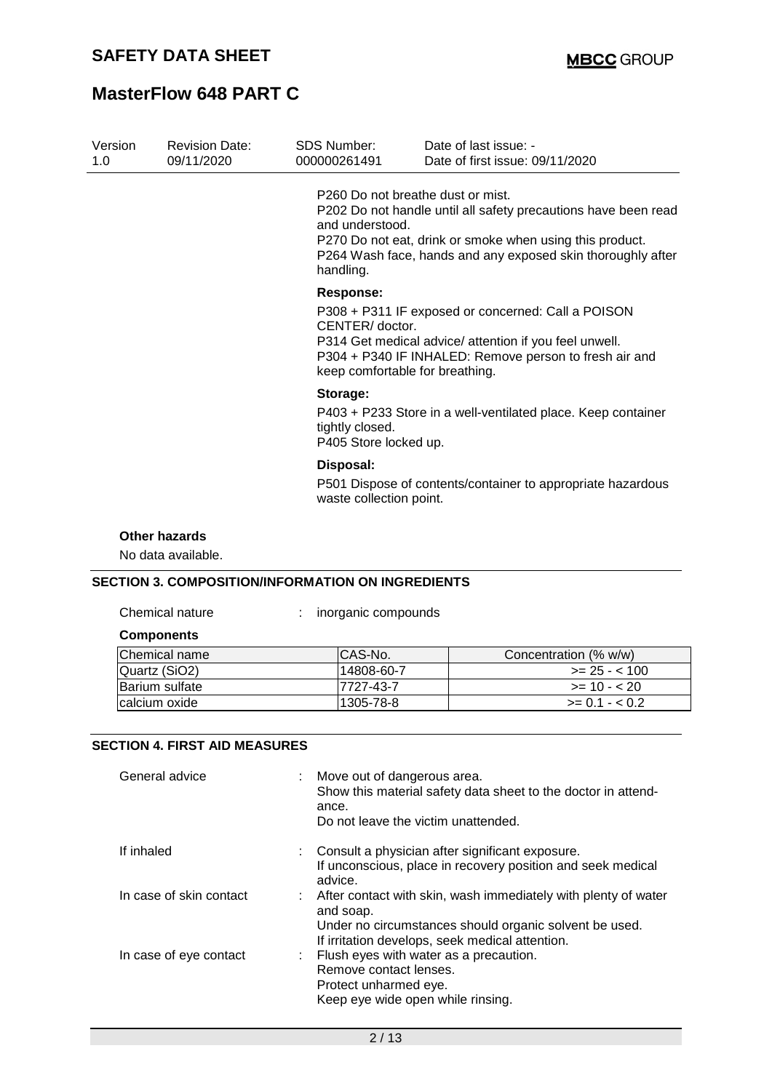| Version<br>1.0 | <b>Revision Date:</b><br>09/11/2020        | SDS Number:<br>000000261491                                                                                                                                                                                                                     | Date of last issue: -<br>Date of first issue: 09/11/2020                                                                                                                                  |  |  |  |
|----------------|--------------------------------------------|-------------------------------------------------------------------------------------------------------------------------------------------------------------------------------------------------------------------------------------------------|-------------------------------------------------------------------------------------------------------------------------------------------------------------------------------------------|--|--|--|
|                |                                            | P <sub>260</sub> Do not breathe dust or mist.<br>and understood.<br>handling.                                                                                                                                                                   | P202 Do not handle until all safety precautions have been read<br>P270 Do not eat, drink or smoke when using this product.<br>P264 Wash face, hands and any exposed skin thoroughly after |  |  |  |
|                |                                            | <b>Response:</b><br>P308 + P311 IF exposed or concerned: Call a POISON<br>CENTER/doctor.<br>P314 Get medical advice/ attention if you feel unwell.<br>P304 + P340 IF INHALED: Remove person to fresh air and<br>keep comfortable for breathing. |                                                                                                                                                                                           |  |  |  |
|                |                                            | Storage:<br>tightly closed.<br>P405 Store locked up.                                                                                                                                                                                            | P403 + P233 Store in a well-ventilated place. Keep container                                                                                                                              |  |  |  |
|                |                                            | Disposal:<br>waste collection point.                                                                                                                                                                                                            | P501 Dispose of contents/container to appropriate hazardous                                                                                                                               |  |  |  |
|                | <b>Other hazards</b><br>No data available. |                                                                                                                                                                                                                                                 |                                                                                                                                                                                           |  |  |  |

### **SECTION 3. COMPOSITION/INFORMATION ON INGREDIENTS**

| Chemical nature |
|-----------------|

: inorganic compounds

### **Components**

| Chemical name  | ICAS-No.   | Concentration (% w/w) |
|----------------|------------|-----------------------|
| Quartz (SiO2)  | 14808-60-7 | $>= 25 - 100$         |
| Barium sulfate | 17727-43-7 | $>= 10 - 20$          |
| Icalcium oxide | 1305-78-8  | $>= 0.1 - 0.2$        |

### **SECTION 4. FIRST AID MEASURES**

| General advice          | : Move out of dangerous area.<br>Show this material safety data sheet to the doctor in attend-<br>ance.<br>Do not leave the victim unattended. |
|-------------------------|------------------------------------------------------------------------------------------------------------------------------------------------|
| If inhaled              | : Consult a physician after significant exposure.                                                                                              |
|                         | If unconscious, place in recovery position and seek medical<br>advice.                                                                         |
| In case of skin contact | : After contact with skin, wash immediately with plenty of water<br>and soap.                                                                  |
|                         | Under no circumstances should organic solvent be used.<br>If irritation develops, seek medical attention.                                      |
| In case of eye contact  | : Flush eyes with water as a precaution.<br>Remove contact lenses.<br>Protect unharmed eye.<br>Keep eye wide open while rinsing.               |
|                         |                                                                                                                                                |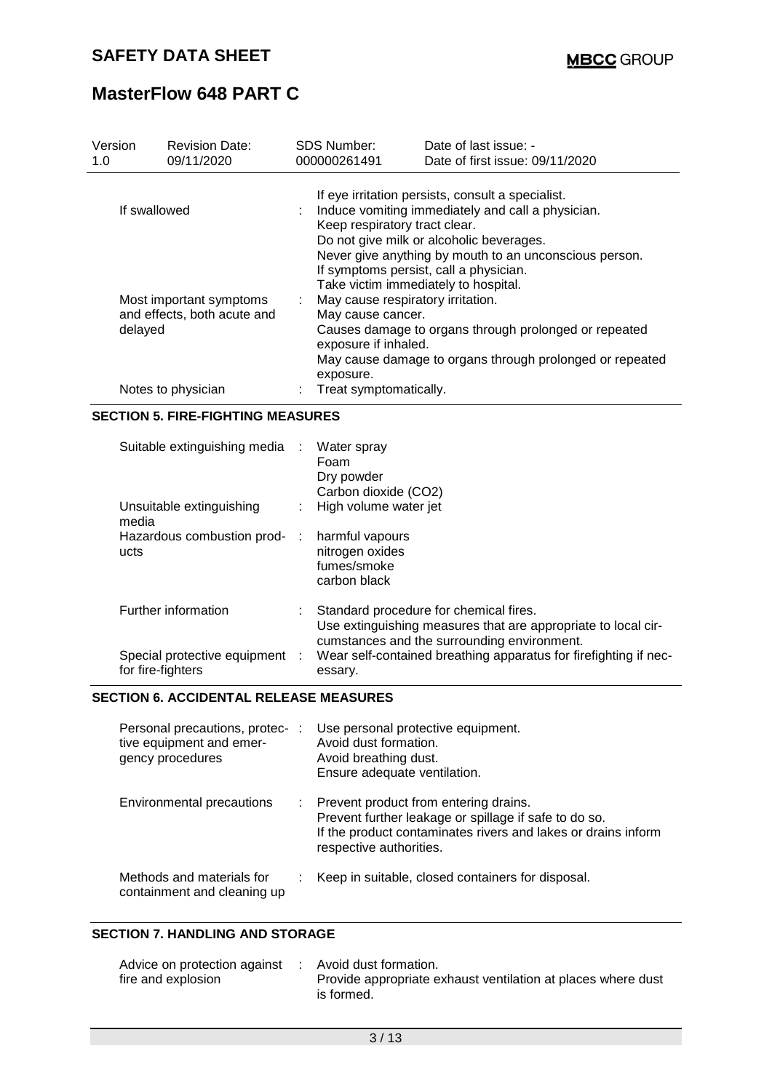| Version<br>1.0                                                    | <b>Revision Date:</b><br>09/11/2020 | <b>SDS Number:</b><br>000000261491                                                                                                                                                                                                                                                                 | Date of last issue: -<br>Date of first issue: 09/11/2020 |  |  |  |  |
|-------------------------------------------------------------------|-------------------------------------|----------------------------------------------------------------------------------------------------------------------------------------------------------------------------------------------------------------------------------------------------------------------------------------------------|----------------------------------------------------------|--|--|--|--|
| If swallowed                                                      |                                     | If eye irritation persists, consult a specialist.<br>: Induce vomiting immediately and call a physician.<br>Keep respiratory tract clear.<br>Do not give milk or alcoholic beverages.<br>Never give anything by mouth to an unconscious person.                                                    |                                                          |  |  |  |  |
| Most important symptoms<br>and effects, both acute and<br>delayed |                                     | If symptoms persist, call a physician.<br>Take victim immediately to hospital.<br>May cause respiratory irritation.<br>May cause cancer.<br>Causes damage to organs through prolonged or repeated<br>exposure if inhaled.<br>May cause damage to organs through prolonged or repeated<br>exposure. |                                                          |  |  |  |  |
|                                                                   | Notes to physician                  | Treat symptomatically.                                                                                                                                                                                                                                                                             |                                                          |  |  |  |  |

### **SECTION 5. FIRE-FIGHTING MEASURES**

| Suitable extinguishing media                        |    | Water spray<br>Foam<br>Dry powder<br>Carbon dioxide (CO2)                                                                                              |
|-----------------------------------------------------|----|--------------------------------------------------------------------------------------------------------------------------------------------------------|
| Unsuitable extinguishing<br>media                   |    | High volume water jet                                                                                                                                  |
| Hazardous combustion prod-<br>ucts                  | ÷  | harmful vapours<br>nitrogen oxides<br>fumes/smoke<br>carbon black                                                                                      |
| Further information                                 | ÷. | Standard procedure for chemical fires.<br>Use extinguishing measures that are appropriate to local cir-<br>cumstances and the surrounding environment. |
| Special protective equipment :<br>for fire-fighters |    | Wear self-contained breathing apparatus for firefighting if nec-<br>essary.                                                                            |

### **SECTION 6. ACCIDENTAL RELEASE MEASURES**

| Personal precautions, protec-<br>tive equipment and emer-<br>gency procedures | ÷  | Use personal protective equipment.<br>Avoid dust formation.<br>Avoid breathing dust.<br>Ensure adequate ventilation.                                                                       |
|-------------------------------------------------------------------------------|----|--------------------------------------------------------------------------------------------------------------------------------------------------------------------------------------------|
| Environmental precautions                                                     | ÷. | Prevent product from entering drains.<br>Prevent further leakage or spillage if safe to do so.<br>If the product contaminates rivers and lakes or drains inform<br>respective authorities. |
| Methods and materials for<br>containment and cleaning up                      |    | Keep in suitable, closed containers for disposal.                                                                                                                                          |

### **SECTION 7. HANDLING AND STORAGE**

| Advice on protection against : | Avoid dust formation.                                        |
|--------------------------------|--------------------------------------------------------------|
| fire and explosion             | Provide appropriate exhaust ventilation at places where dust |
|                                | is formed.                                                   |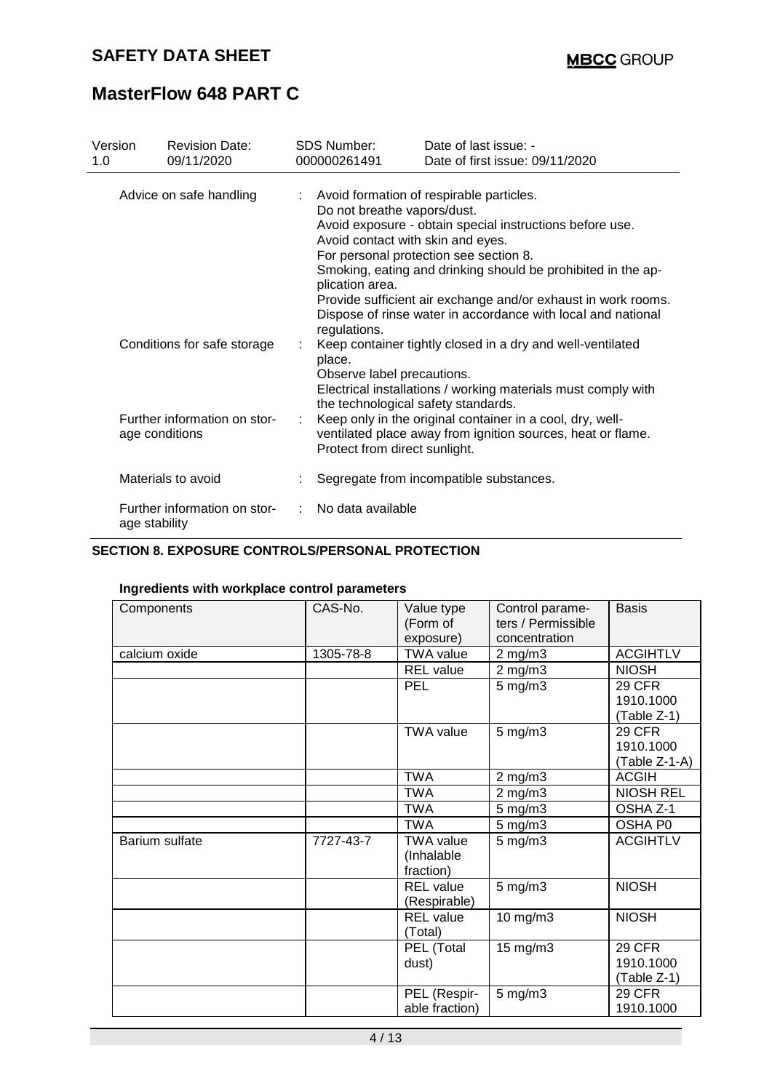# **MasterFlow 648 PART C**

| Version<br>1.0          | <b>Revision Date:</b><br>09/11/2020            |   | <b>SDS Number:</b><br>000000261491                                                                                                                                                                                                                                                                                                                                                                                                                     | Date of last issue: -<br>Date of first issue: 09/11/2020                                                                    |  |  |
|-------------------------|------------------------------------------------|---|--------------------------------------------------------------------------------------------------------------------------------------------------------------------------------------------------------------------------------------------------------------------------------------------------------------------------------------------------------------------------------------------------------------------------------------------------------|-----------------------------------------------------------------------------------------------------------------------------|--|--|
| Advice on safe handling |                                                |   | Avoid formation of respirable particles.<br>Do not breathe vapors/dust.<br>Avoid exposure - obtain special instructions before use.<br>Avoid contact with skin and eyes.<br>For personal protection see section 8.<br>Smoking, eating and drinking should be prohibited in the ap-<br>plication area.<br>Provide sufficient air exchange and/or exhaust in work rooms.<br>Dispose of rinse water in accordance with local and national<br>regulations. |                                                                                                                             |  |  |
|                         | Conditions for safe storage                    |   | place.<br>Observe label precautions.                                                                                                                                                                                                                                                                                                                                                                                                                   | Keep container tightly closed in a dry and well-ventilated<br>Electrical installations / working materials must comply with |  |  |
|                         | Further information on stor-<br>age conditions |   | the technological safety standards.<br>Protect from direct sunlight.                                                                                                                                                                                                                                                                                                                                                                                   | Keep only in the original container in a cool, dry, well-<br>ventilated place away from ignition sources, heat or flame.    |  |  |
|                         | Materials to avoid                             |   |                                                                                                                                                                                                                                                                                                                                                                                                                                                        | Segregate from incompatible substances.                                                                                     |  |  |
|                         | Further information on stor-<br>age stability  | ÷ | No data available                                                                                                                                                                                                                                                                                                                                                                                                                                      |                                                                                                                             |  |  |

### **SECTION 8. EXPOSURE CONTROLS/PERSONAL PROTECTION**

### **Ingredients with workplace control parameters**

| Components     | CAS-No.   | Value type<br>(Form of<br>exposure)         | Control parame-<br>ters / Permissible<br>concentration | <b>Basis</b>                                |
|----------------|-----------|---------------------------------------------|--------------------------------------------------------|---------------------------------------------|
| calcium oxide  | 1305-78-8 | <b>TWA value</b>                            | $2$ mg/m $3$                                           | <b>ACGIHTLV</b>                             |
|                |           | REL value                                   | $2$ mg/m $3$                                           | <b>NIOSH</b>                                |
|                |           | <b>PEL</b>                                  | $5$ mg/m $3$                                           | <b>29 CFR</b><br>1910.1000<br>(Table Z-1)   |
|                |           | <b>TWA value</b>                            | 5 mg/m3                                                | <b>29 CFR</b><br>1910.1000<br>(Table Z-1-A) |
|                |           | <b>TWA</b>                                  | $2$ mg/m $3$                                           | <b>ACGIH</b>                                |
|                |           | <b>TWA</b>                                  | $2$ mg/m $3$                                           | <b>NIOSH REL</b>                            |
|                |           | <b>TWA</b>                                  | 5 mg/m3                                                | OSHA Z-1                                    |
|                |           | <b>TWA</b>                                  | $5$ mg/m $3$                                           | OSHA P0                                     |
| Barium sulfate | 7727-43-7 | <b>TWA value</b><br>(Inhalable<br>fraction) | $5$ mg/m $3$                                           | <b>ACGIHTLV</b>                             |
|                |           | <b>REL</b> value<br>(Respirable)            | $5$ mg/m $3$                                           | <b>NIOSH</b>                                |
|                |           | <b>REL</b> value<br>(Total)                 | 10 mg/m3                                               | <b>NIOSH</b>                                |
|                |           | PEL (Total<br>dust)                         | 15 mg/m3                                               | <b>29 CFR</b><br>1910.1000<br>(Table Z-1)   |
|                |           | PEL (Respir-<br>able fraction)              | $5$ mg/m $3$                                           | <b>29 CFR</b><br>1910.1000                  |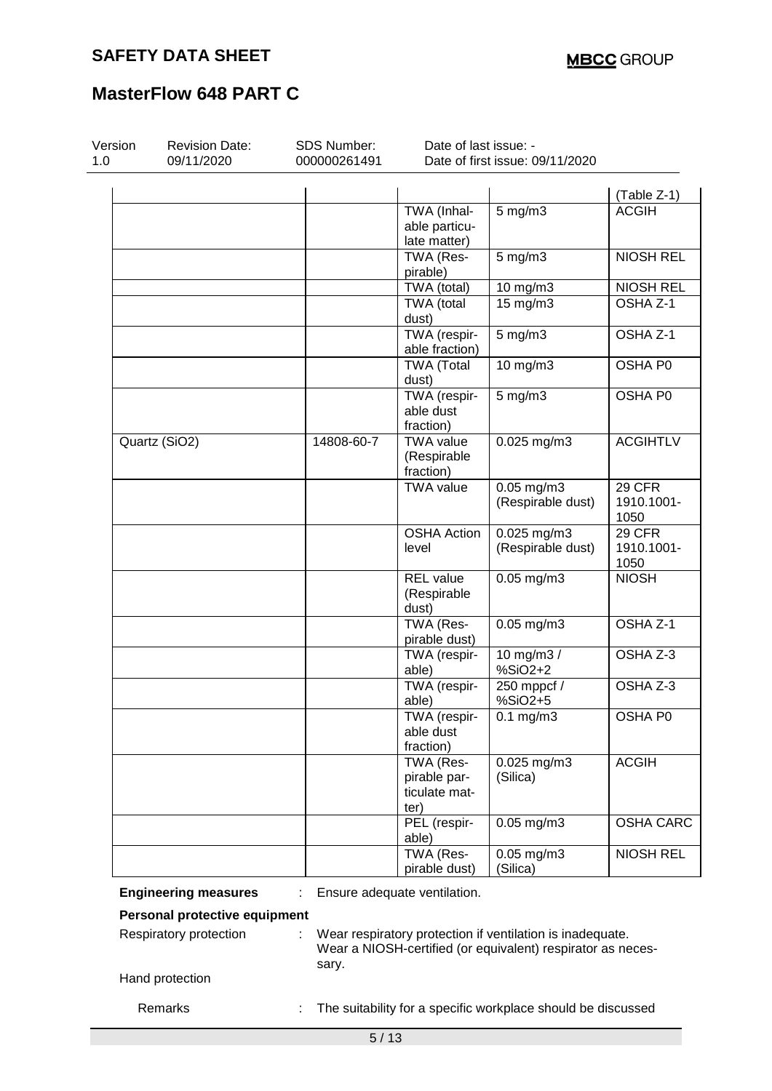# **MasterFlow 648 PART C**

| Version<br>1.0 | <b>Revision Date:</b><br>09/11/2020 | <b>SDS Number:</b><br>000000261491 | Date of last issue: -                              | Date of first issue: 09/11/2020      |                              |
|----------------|-------------------------------------|------------------------------------|----------------------------------------------------|--------------------------------------|------------------------------|
|                |                                     |                                    |                                                    |                                      | (Table Z-1)                  |
|                |                                     |                                    | TWA (Inhal-<br>able particu-<br>late matter)       | $5$ mg/m $3$                         | <b>ACGIH</b>                 |
|                |                                     |                                    | TWA (Res-<br>pirable)                              | $5$ mg/m $3$                         | <b>NIOSH REL</b>             |
|                |                                     |                                    | TWA (total)                                        | 10 mg/m3                             | <b>NIOSH REL</b>             |
|                |                                     |                                    | TWA (total<br>dust)                                | 15 mg/m3                             | OSHA Z-1                     |
|                |                                     |                                    | TWA (respir-<br>able fraction)                     | $5$ mg/m $3$                         | OSHA Z-1                     |
|                |                                     |                                    | <b>TWA (Total</b><br>dust)                         | 10 mg/m3                             | OSHA P0                      |
|                |                                     |                                    | TWA (respir-<br>able dust<br>fraction)             | $5$ mg/m $3$                         | OSHA P0                      |
|                | Quartz (SiO2)                       | 14808-60-7                         | <b>TWA value</b><br>(Respirable<br>fraction)       | $0.025$ mg/m3                        | <b>ACGIHTLV</b>              |
|                |                                     |                                    | <b>TWA value</b>                                   | $0.05$ mg/m $3$<br>(Respirable dust) | 29 CFR<br>1910.1001-<br>1050 |
|                |                                     |                                    | <b>OSHA Action</b><br>level                        | $0.025$ mg/m3<br>(Respirable dust)   | 29 CFR<br>1910.1001-<br>1050 |
|                |                                     |                                    | <b>REL</b> value<br>(Respirable<br>dust)           | $0.05$ mg/m $3$                      | <b>NIOSH</b>                 |
|                |                                     |                                    | TWA (Res-<br>pirable dust)                         | $0.05$ mg/m $3$                      | OSHA Z-1                     |
|                |                                     |                                    | TWA (respir-<br>able)                              | 10 mg/m3 /<br>%SiO2+2                | OSHA Z-3                     |
|                |                                     |                                    | TWA (respir-<br>able)                              | 250 mppcf /<br>%SiO2+5               | OSHA Z-3                     |
|                |                                     |                                    | TWA (respir-<br>able dust<br>fraction)             | $0.1$ mg/m $3$                       | OSHA P0                      |
|                |                                     |                                    | TWA (Res-<br>pirable par-<br>ticulate mat-<br>ter) | 0.025 mg/m3<br>(Silica)              | <b>ACGIH</b>                 |
|                |                                     |                                    | PEL (respir-<br>able)                              | $0.05$ mg/m $3$                      | <b>OSHA CARC</b>             |
|                |                                     |                                    | TWA (Res-<br>pirable dust)                         | $0.05$ mg/m $3$<br>(Silica)          | <b>NIOSH REL</b>             |

**Engineering measures** : Ensure adequate ventilation.

**Personal protective equipment**

Respiratory protection : Wear respiratory protection if ventilation is inadequate. Wear a NIOSH-certified (or equivalent) respirator as necessary.

Hand protection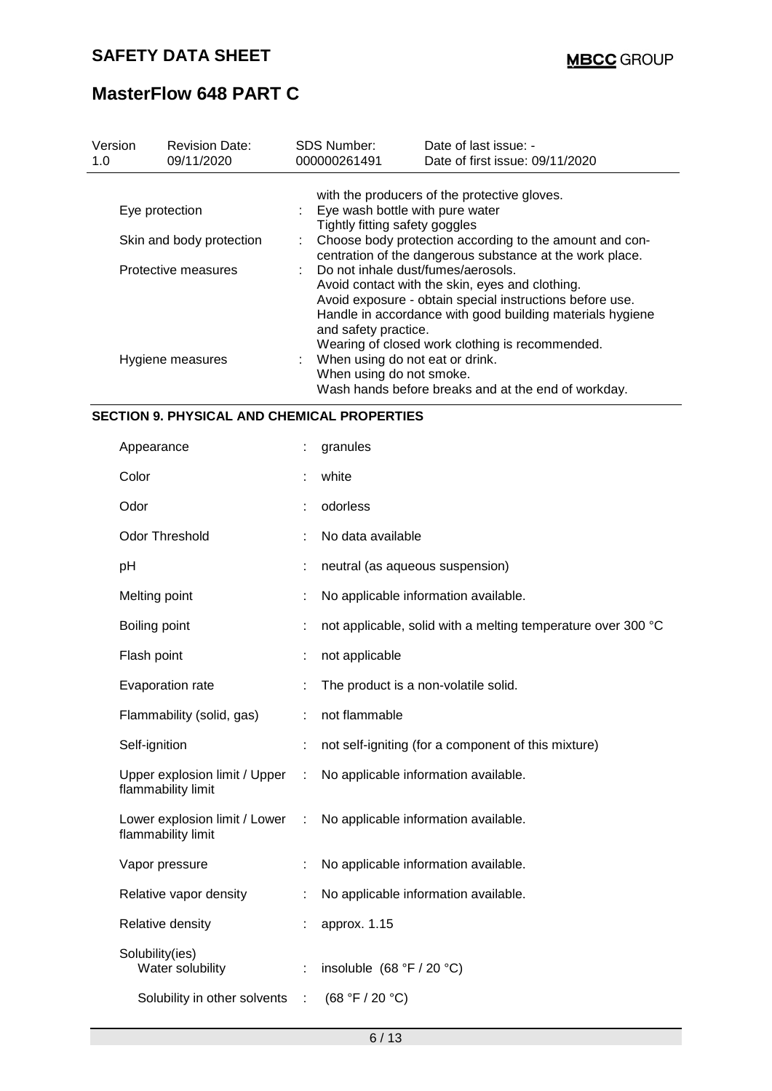| Version<br>1.0      | <b>Revision Date:</b><br>09/11/2020 | <b>SDS Number:</b><br>000000261491                                  | Date of last issue: -<br>Date of first issue: 09/11/2020                                                                                                                                                       |
|---------------------|-------------------------------------|---------------------------------------------------------------------|----------------------------------------------------------------------------------------------------------------------------------------------------------------------------------------------------------------|
|                     |                                     |                                                                     | with the producers of the protective gloves.                                                                                                                                                                   |
| Eye protection      |                                     | : Eye wash bottle with pure water<br>Tightly fitting safety goggles |                                                                                                                                                                                                                |
|                     | Skin and body protection            |                                                                     | Choose body protection according to the amount and con-<br>centration of the dangerous substance at the work place.                                                                                            |
| Protective measures |                                     | and safety practice.                                                | Do not inhale dust/fumes/aerosols.<br>Avoid contact with the skin, eyes and clothing.<br>Avoid exposure - obtain special instructions before use.<br>Handle in accordance with good building materials hygiene |
|                     | Hygiene measures                    | When using do not smoke.                                            | Wearing of closed work clothing is recommended.<br>When using do not eat or drink.<br>Wash hands before breaks and at the end of workday.                                                                      |

### **SECTION 9. PHYSICAL AND CHEMICAL PROPERTIES**

| Appearance                                          |                         | granules                                                     |
|-----------------------------------------------------|-------------------------|--------------------------------------------------------------|
| Color                                               |                         | white                                                        |
| Odor                                                |                         | odorless                                                     |
| <b>Odor Threshold</b>                               |                         | No data available                                            |
| pH                                                  |                         | neutral (as aqueous suspension)                              |
| Melting point                                       |                         | No applicable information available.                         |
| Boiling point                                       | t                       | not applicable, solid with a melting temperature over 300 °C |
| Flash point                                         | ÷                       | not applicable                                               |
| Evaporation rate                                    |                         | The product is a non-volatile solid.                         |
| Flammability (solid, gas)                           |                         | not flammable                                                |
| Self-ignition                                       |                         | not self-igniting (for a component of this mixture)          |
| Upper explosion limit / Upper<br>flammability limit | ÷                       | No applicable information available.                         |
| Lower explosion limit / Lower<br>flammability limit | ÷                       | No applicable information available.                         |
| Vapor pressure                                      |                         | No applicable information available.                         |
| Relative vapor density                              |                         | No applicable information available.                         |
| Relative density                                    |                         | approx. 1.15                                                 |
| Solubility(ies)<br>Water solubility                 |                         | insoluble $(68 °F / 20 °C)$                                  |
| Solubility in other solvents                        | $\mathbb{Z}^{\times}$ . | (68 °F / 20 °C)                                              |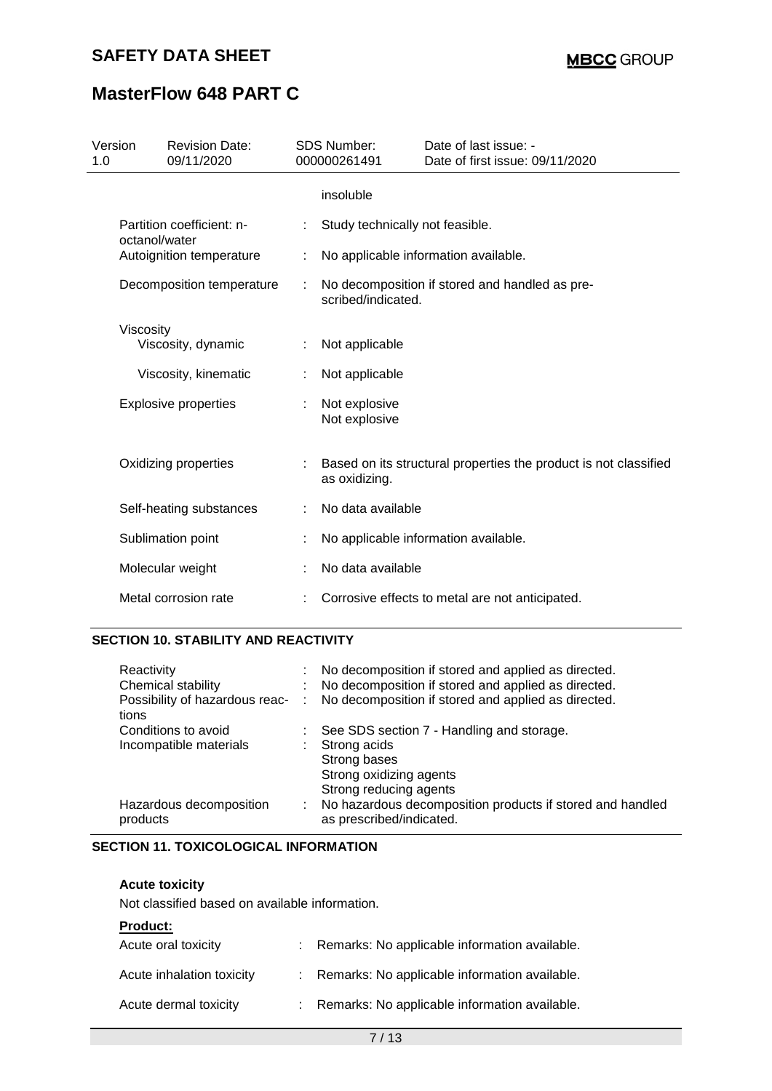# **MasterFlow 648 PART C**

| Version<br>1.0 | <b>Revision Date:</b><br>09/11/2020        |   | <b>SDS Number:</b><br>000000261491 | Date of last issue: -<br>Date of first issue: 09/11/2020         |
|----------------|--------------------------------------------|---|------------------------------------|------------------------------------------------------------------|
|                |                                            |   | insoluble                          |                                                                  |
|                | Partition coefficient: n-<br>octanol/water |   | Study technically not feasible.    |                                                                  |
|                | Autoignition temperature                   | ÷ |                                    | No applicable information available.                             |
|                | Decomposition temperature                  |   | scribed/indicated.                 | No decomposition if stored and handled as pre-                   |
|                | Viscosity                                  |   |                                    |                                                                  |
|                | Viscosity, dynamic                         |   | Not applicable                     |                                                                  |
|                | Viscosity, kinematic                       |   | Not applicable                     |                                                                  |
|                | <b>Explosive properties</b>                |   | Not explosive<br>Not explosive     |                                                                  |
|                | Oxidizing properties                       |   | as oxidizing.                      | Based on its structural properties the product is not classified |
|                | Self-heating substances                    |   | No data available                  |                                                                  |
|                | Sublimation point                          |   |                                    | No applicable information available.                             |
|                | Molecular weight                           |   | No data available                  |                                                                  |
|                | Metal corrosion rate                       |   |                                    | Corrosive effects to metal are not anticipated.                  |

# **SECTION 10. STABILITY AND REACTIVITY**

| Reactivity<br>Chemical stability<br>Possibility of hazardous reac-<br>tions | $\mathcal{L}$ | No decomposition if stored and applied as directed.<br>No decomposition if stored and applied as directed.<br>No decomposition if stored and applied as directed. |
|-----------------------------------------------------------------------------|---------------|-------------------------------------------------------------------------------------------------------------------------------------------------------------------|
| Conditions to avoid<br>Incompatible materials                               |               | : See SDS section 7 - Handling and storage.<br>Strong acids<br>Strong bases<br>Strong oxidizing agents<br>Strong reducing agents                                  |
| Hazardous decomposition<br>products                                         |               | No hazardous decomposition products if stored and handled<br>as prescribed/indicated.                                                                             |

### **SECTION 11. TOXICOLOGICAL INFORMATION**

#### **Acute toxicity**

Not classified based on available information.

#### **Product:**

| Acute oral toxicity       | Remarks: No applicable information available.   |
|---------------------------|-------------------------------------------------|
| Acute inhalation toxicity | : Remarks: No applicable information available. |
| Acute dermal toxicity     | : Remarks: No applicable information available. |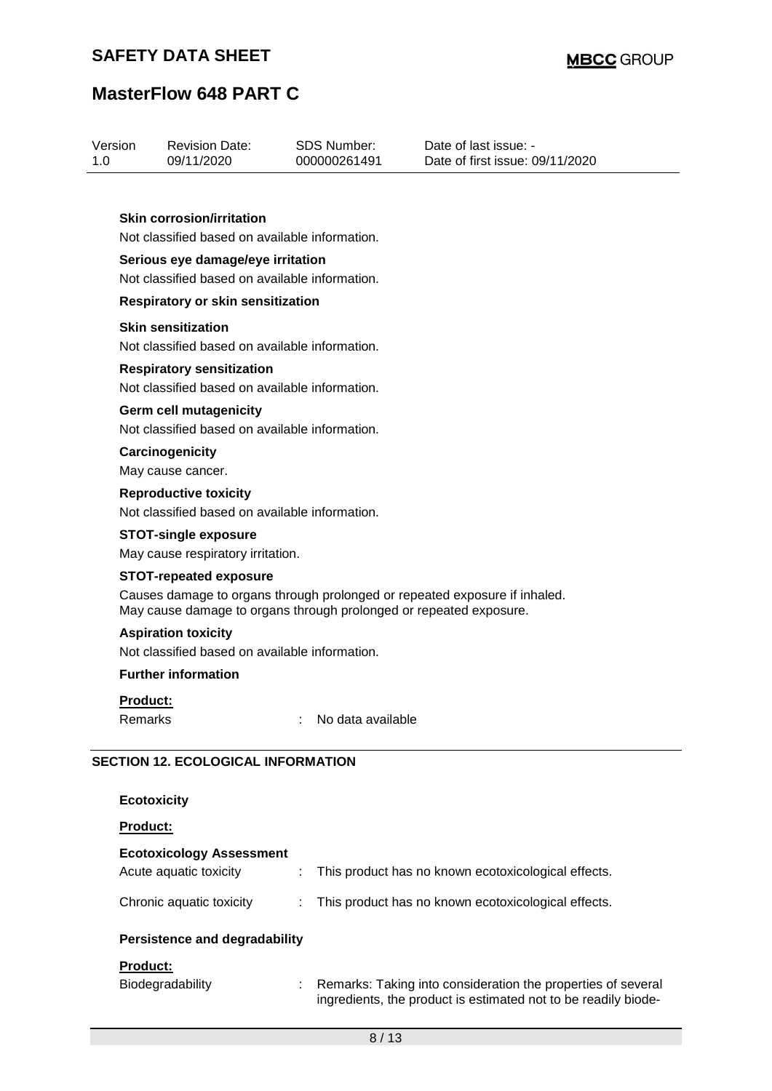# **MasterFlow 648 PART C**

| Version<br>1.0 | <b>Revision Date:</b><br>09/11/2020                                                                 | <b>SDS Number:</b><br>000000261491 | Date of last issue: -<br>Date of first issue: 09/11/2020                   |  |  |  |  |
|----------------|-----------------------------------------------------------------------------------------------------|------------------------------------|----------------------------------------------------------------------------|--|--|--|--|
|                | Skin corrosion/irritation<br>Not classified based on available information.                         |                                    |                                                                            |  |  |  |  |
|                | Serious eye damage/eye irritation<br>Not classified based on available information.                 |                                    |                                                                            |  |  |  |  |
|                | <b>Respiratory or skin sensitization</b><br><b>Skin sensitization</b>                               |                                    |                                                                            |  |  |  |  |
|                | Not classified based on available information.                                                      |                                    |                                                                            |  |  |  |  |
|                | <b>Respiratory sensitization</b><br>Not classified based on available information.                  |                                    |                                                                            |  |  |  |  |
|                | <b>Germ cell mutagenicity</b><br>Not classified based on available information.                     |                                    |                                                                            |  |  |  |  |
|                | Carcinogenicity<br>May cause cancer.                                                                |                                    |                                                                            |  |  |  |  |
|                | <b>Reproductive toxicity</b><br>Not classified based on available information.                      |                                    |                                                                            |  |  |  |  |
|                | <b>STOT-single exposure</b><br>May cause respiratory irritation.                                    |                                    |                                                                            |  |  |  |  |
|                | <b>STOT-repeated exposure</b><br>May cause damage to organs through prolonged or repeated exposure. |                                    | Causes damage to organs through prolonged or repeated exposure if inhaled. |  |  |  |  |
|                | <b>Aspiration toxicity</b><br>Not classified based on available information.                        |                                    |                                                                            |  |  |  |  |
|                | <b>Further information</b>                                                                          |                                    |                                                                            |  |  |  |  |
|                | Product:<br>Remarks                                                                                 | No data available                  |                                                                            |  |  |  |  |
|                | <b>SECTION 12. ECOLOGICAL INFORMATION</b>                                                           |                                    |                                                                            |  |  |  |  |
|                | <b>Ecotoxicity</b>                                                                                  |                                    |                                                                            |  |  |  |  |
|                | Product:                                                                                            |                                    |                                                                            |  |  |  |  |

#### **Ecotoxicology Assessment** Acute aquatic toxicity : This product has no known ecotoxicological effects.

| Acute aquatic toxicity   | $\therefore$ This product has no known ecotoxicological effects. |
|--------------------------|------------------------------------------------------------------|
| Chronic aquatic toxicity | : This product has no known ecotoxicological effects.            |

### **Persistence and degradability**

### **Product:**

| Biodegradability | Remarks: Taking into consideration the properties of several   |
|------------------|----------------------------------------------------------------|
|                  | ingredients, the product is estimated not to be readily biode- |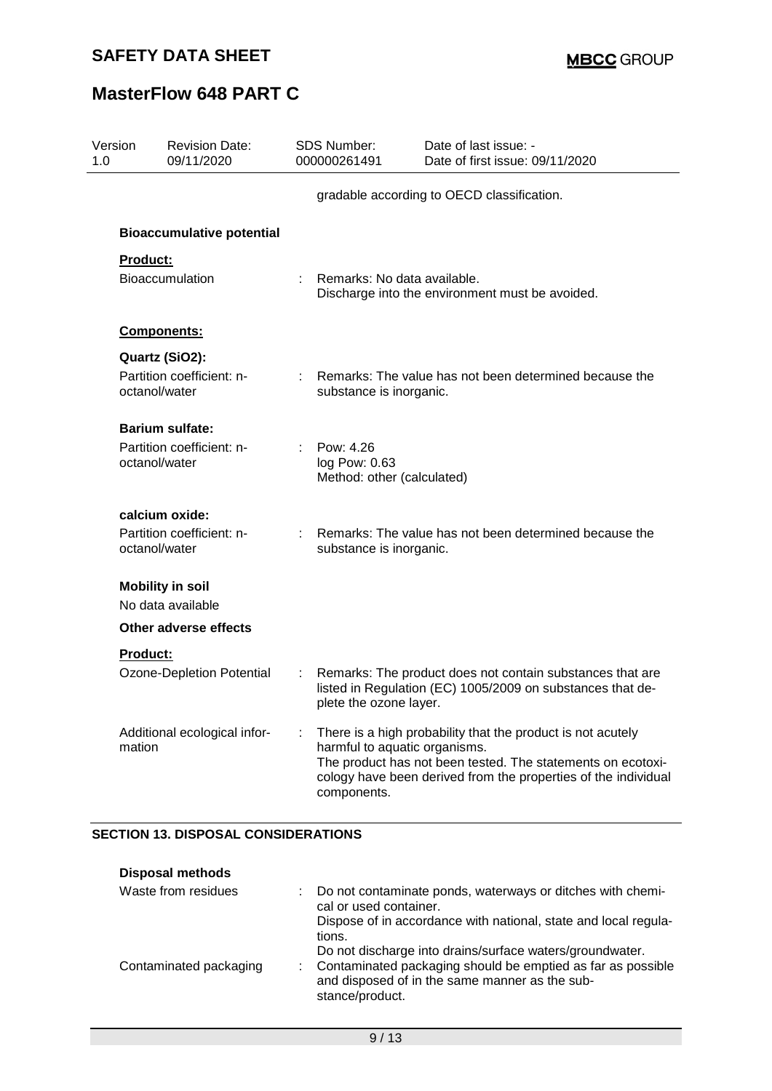| Version<br>1.0 |                 | <b>Revision Date:</b><br>09/11/2020        |   | <b>SDS Number:</b><br>000000261491                       | Date of last issue: -<br>Date of first issue: 09/11/2020                                                                                                                                     |
|----------------|-----------------|--------------------------------------------|---|----------------------------------------------------------|----------------------------------------------------------------------------------------------------------------------------------------------------------------------------------------------|
|                |                 |                                            |   |                                                          | gradable according to OECD classification.                                                                                                                                                   |
|                |                 | <b>Bioaccumulative potential</b>           |   |                                                          |                                                                                                                                                                                              |
|                | Product:        |                                            |   |                                                          |                                                                                                                                                                                              |
|                |                 | <b>Bioaccumulation</b>                     |   | Remarks: No data available.                              | Discharge into the environment must be avoided.                                                                                                                                              |
|                |                 | Components:                                |   |                                                          |                                                                                                                                                                                              |
|                |                 | Quartz (SiO2):                             |   |                                                          |                                                                                                                                                                                              |
|                |                 | Partition coefficient: n-<br>octanol/water |   | substance is inorganic.                                  | Remarks: The value has not been determined because the                                                                                                                                       |
|                |                 | <b>Barium sulfate:</b>                     |   |                                                          |                                                                                                                                                                                              |
|                | octanol/water   | Partition coefficient: n-                  |   | Pow: 4.26<br>log Pow: 0.63<br>Method: other (calculated) |                                                                                                                                                                                              |
|                |                 | calcium oxide:                             |   |                                                          |                                                                                                                                                                                              |
|                | octanol/water   | Partition coefficient: n-                  |   | substance is inorganic.                                  | Remarks: The value has not been determined because the                                                                                                                                       |
|                |                 | <b>Mobility in soil</b>                    |   |                                                          |                                                                                                                                                                                              |
|                |                 | No data available                          |   |                                                          |                                                                                                                                                                                              |
|                |                 | Other adverse effects                      |   |                                                          |                                                                                                                                                                                              |
|                | <b>Product:</b> |                                            |   |                                                          |                                                                                                                                                                                              |
|                |                 | Ozone-Depletion Potential                  | t | plete the ozone layer.                                   | Remarks: The product does not contain substances that are<br>listed in Regulation (EC) 1005/2009 on substances that de-                                                                      |
|                | mation          | Additional ecological infor-               | t | harmful to aquatic organisms.<br>components.             | There is a high probability that the product is not acutely<br>The product has not been tested. The statements on ecotoxi-<br>cology have been derived from the properties of the individual |

### **SECTION 13. DISPOSAL CONSIDERATIONS**

| <b>Disposal methods</b> |                                                                                                                                       |
|-------------------------|---------------------------------------------------------------------------------------------------------------------------------------|
| Waste from residues     | Do not contaminate ponds, waterways or ditches with chemi-<br>cal or used container.                                                  |
|                         | Dispose of in accordance with national, state and local regula-<br>tions.<br>Do not discharge into drains/surface waters/groundwater. |
| Contaminated packaging  | Contaminated packaging should be emptied as far as possible<br>and disposed of in the same manner as the sub-<br>stance/product.      |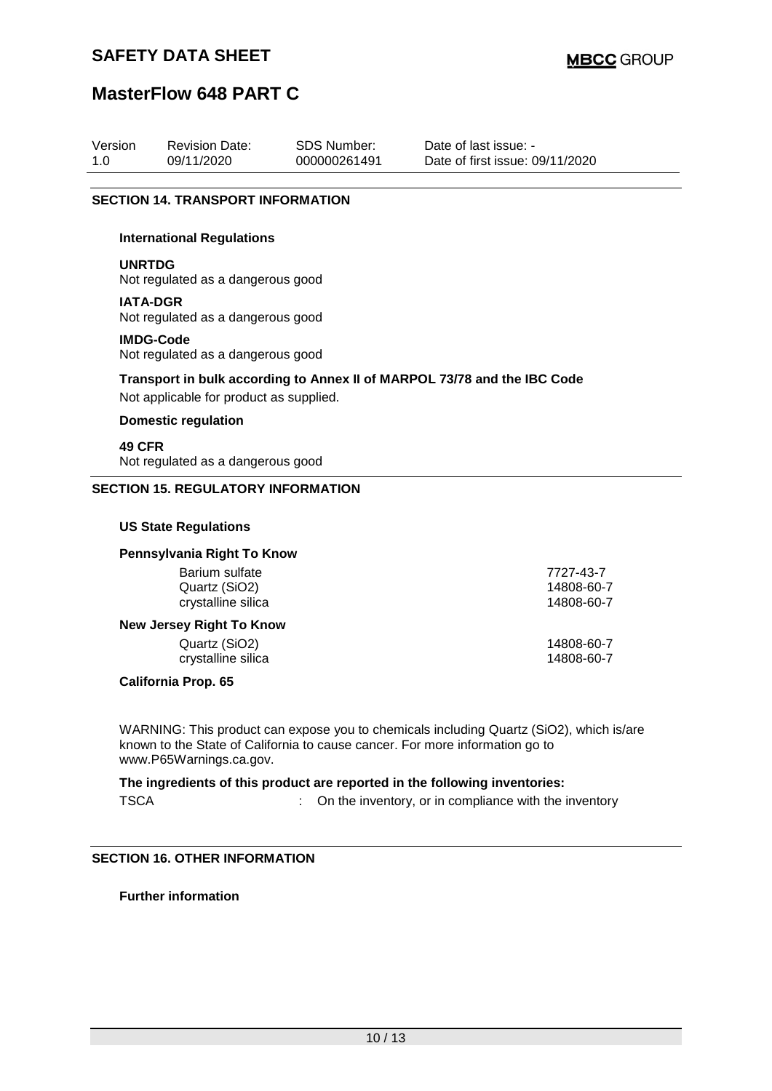# **MasterFlow 648 PART C**

| Version | <b>Revision Date:</b> | SDS Number:  | Date of last issue: -           |
|---------|-----------------------|--------------|---------------------------------|
| 1.0     | 09/11/2020            | 000000261491 | Date of first issue: 09/11/2020 |

#### **SECTION 14. TRANSPORT INFORMATION**

#### **International Regulations**

#### **UNRTDG**

Not regulated as a dangerous good

#### **IATA-DGR**

Not regulated as a dangerous good

#### **IMDG-Code**

Not regulated as a dangerous good

#### **Transport in bulk according to Annex II of MARPOL 73/78 and the IBC Code**

Not applicable for product as supplied.

#### **Domestic regulation**

**49 CFR** Not regulated as a dangerous good

#### **SECTION 15. REGULATORY INFORMATION**

#### **US State Regulations**

#### **Pennsylvania Right To Know**

Barium sulfate 7727-43-7<br>
Quartz (SiO2) 14808-60-7 Quartz (SiO2) crystalline silica 14808-60-7

#### **New Jersey Right To Know**

Quartz (SiO2) 14808-60-7 crystalline silica

**California Prop. 65**

WARNING: This product can expose you to chemicals including Quartz (SiO2), which is/are known to the State of California to cause cancer. For more information go to www.P65Warnings.ca.gov.

**The ingredients of this product are reported in the following inventories:** TSCA : On the inventory, or in compliance with the inventory

#### **SECTION 16. OTHER INFORMATION**

**Further information**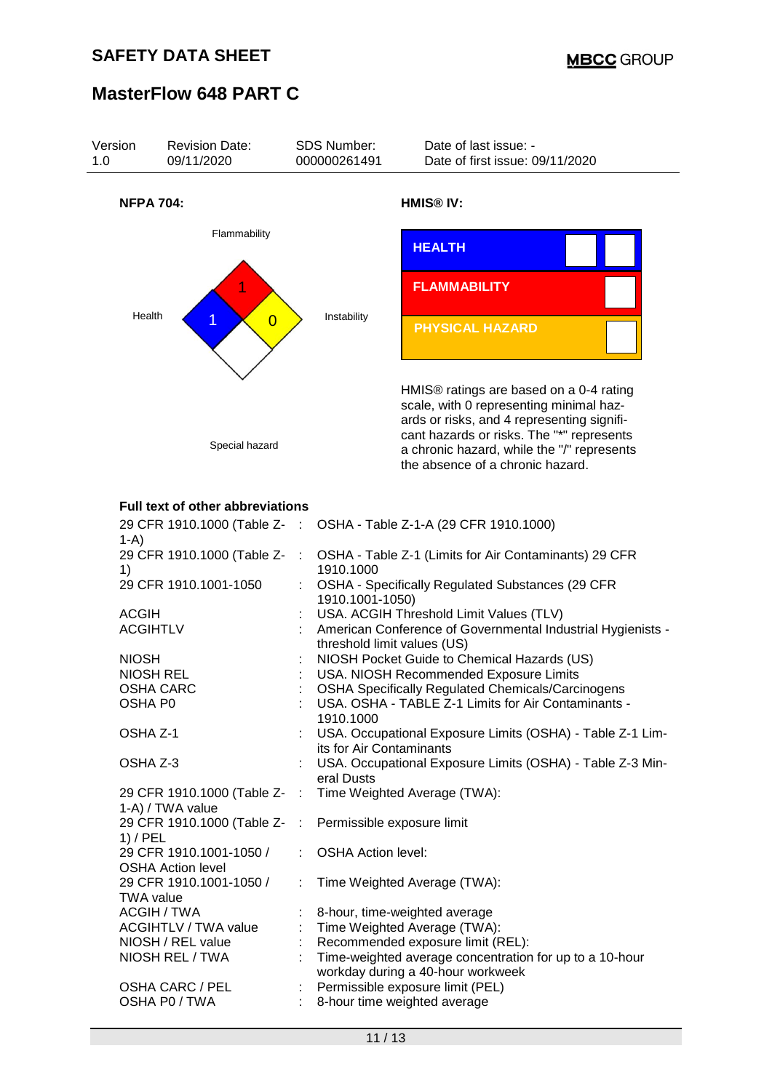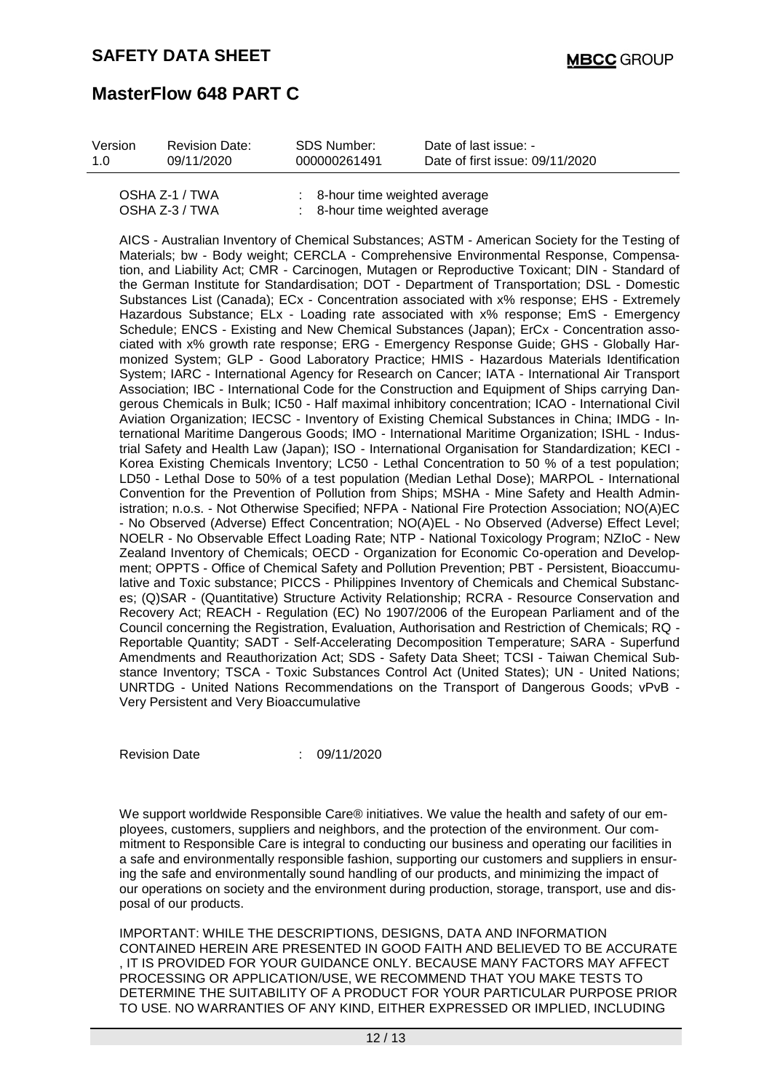| Version | <b>Revision Date:</b> | SDS Number:  | Date of last issue: -           |
|---------|-----------------------|--------------|---------------------------------|
| 1.0     | 09/11/2020            | 000000261491 | Date of first issue: 09/11/2020 |
|         |                       |              |                                 |

| OSHA Z-1 / TWA | : 8-hour time weighted average                                          |
|----------------|-------------------------------------------------------------------------|
| OSHA Z-3 / TWA | $\therefore$ 8-hour time weighted average                               |
|                | AICS - Australian Inventory of Chemical Substances: ASTM - American Soc |

AICS - Australian Inventory of Chemical Substances; ASTM - American Society for the Testing of Materials; bw - Body weight; CERCLA - Comprehensive Environmental Response, Compensation, and Liability Act; CMR - Carcinogen, Mutagen or Reproductive Toxicant; DIN - Standard of the German Institute for Standardisation; DOT - Department of Transportation; DSL - Domestic Substances List (Canada); ECx - Concentration associated with x% response; EHS - Extremely Hazardous Substance; ELx - Loading rate associated with x% response; EmS - Emergency Schedule; ENCS - Existing and New Chemical Substances (Japan); ErCx - Concentration associated with x% growth rate response; ERG - Emergency Response Guide; GHS - Globally Harmonized System; GLP - Good Laboratory Practice; HMIS - Hazardous Materials Identification System; IARC - International Agency for Research on Cancer; IATA - International Air Transport Association; IBC - International Code for the Construction and Equipment of Ships carrying Dangerous Chemicals in Bulk; IC50 - Half maximal inhibitory concentration; ICAO - International Civil Aviation Organization; IECSC - Inventory of Existing Chemical Substances in China; IMDG - International Maritime Dangerous Goods; IMO - International Maritime Organization; ISHL - Industrial Safety and Health Law (Japan); ISO - International Organisation for Standardization; KECI - Korea Existing Chemicals Inventory; LC50 - Lethal Concentration to 50 % of a test population; LD50 - Lethal Dose to 50% of a test population (Median Lethal Dose); MARPOL - International Convention for the Prevention of Pollution from Ships; MSHA - Mine Safety and Health Administration; n.o.s. - Not Otherwise Specified; NFPA - National Fire Protection Association; NO(A)EC - No Observed (Adverse) Effect Concentration; NO(A)EL - No Observed (Adverse) Effect Level; NOELR - No Observable Effect Loading Rate; NTP - National Toxicology Program; NZIoC - New Zealand Inventory of Chemicals; OECD - Organization for Economic Co-operation and Development; OPPTS - Office of Chemical Safety and Pollution Prevention; PBT - Persistent, Bioaccumulative and Toxic substance; PICCS - Philippines Inventory of Chemicals and Chemical Substances; (Q)SAR - (Quantitative) Structure Activity Relationship; RCRA - Resource Conservation and Recovery Act; REACH - Regulation (EC) No 1907/2006 of the European Parliament and of the Council concerning the Registration, Evaluation, Authorisation and Restriction of Chemicals; RQ - Reportable Quantity; SADT - Self-Accelerating Decomposition Temperature; SARA - Superfund Amendments and Reauthorization Act; SDS - Safety Data Sheet; TCSI - Taiwan Chemical Substance Inventory; TSCA - Toxic Substances Control Act (United States); UN - United Nations; UNRTDG - United Nations Recommendations on the Transport of Dangerous Goods; vPvB - Very Persistent and Very Bioaccumulative

Revision Date : 09/11/2020

We support worldwide Responsible Care® initiatives. We value the health and safety of our employees, customers, suppliers and neighbors, and the protection of the environment. Our commitment to Responsible Care is integral to conducting our business and operating our facilities in a safe and environmentally responsible fashion, supporting our customers and suppliers in ensuring the safe and environmentally sound handling of our products, and minimizing the impact of our operations on society and the environment during production, storage, transport, use and disposal of our products.

IMPORTANT: WHILE THE DESCRIPTIONS, DESIGNS, DATA AND INFORMATION CONTAINED HEREIN ARE PRESENTED IN GOOD FAITH AND BELIEVED TO BE ACCURATE , IT IS PROVIDED FOR YOUR GUIDANCE ONLY. BECAUSE MANY FACTORS MAY AFFECT PROCESSING OR APPLICATION/USE, WE RECOMMEND THAT YOU MAKE TESTS TO DETERMINE THE SUITABILITY OF A PRODUCT FOR YOUR PARTICULAR PURPOSE PRIOR TO USE. NO WARRANTIES OF ANY KIND, EITHER EXPRESSED OR IMPLIED, INCLUDING